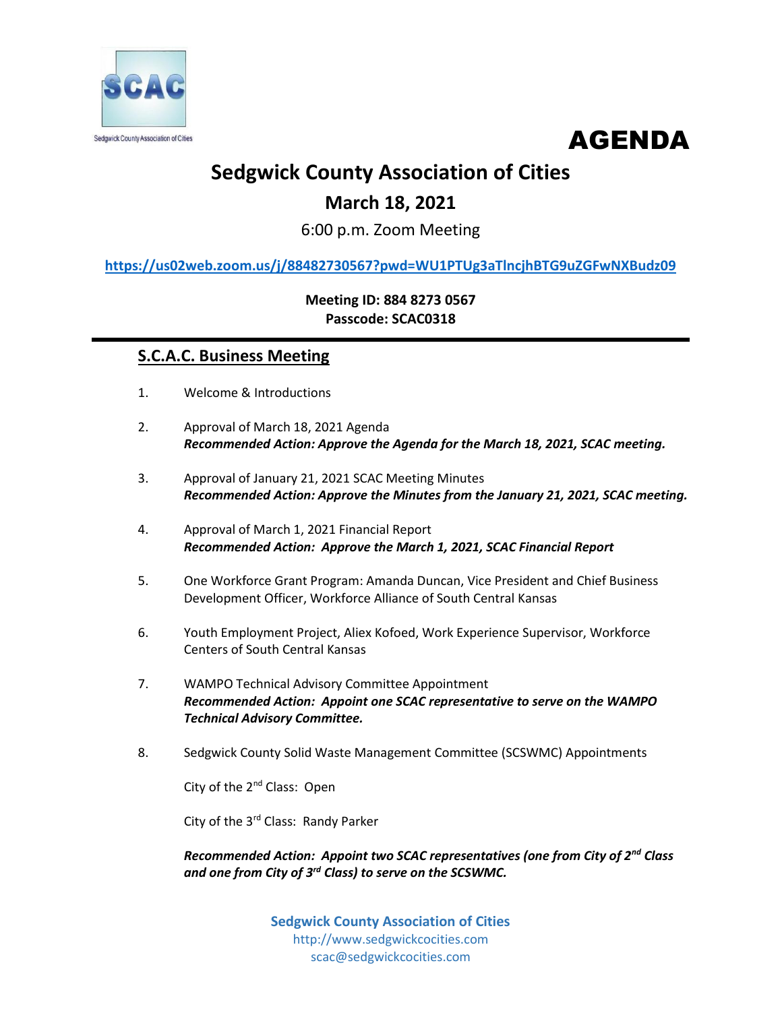



# **Sedgwick County Association of Cities**

## **March 18, 2021**

6:00 p.m. Zoom Meeting

**<https://us02web.zoom.us/j/88482730567?pwd=WU1PTUg3aTlncjhBTG9uZGFwNXBudz09>**

**Meeting ID: 884 8273 0567 Passcode: SCAC0318**

## **S.C.A.C. Business Meeting**

- 1. Welcome & Introductions
- 2. Approval of March 18, 2021 Agenda *Recommended Action: Approve the Agenda for the March 18, 2021, SCAC meeting.*
- 3. Approval of January 21, 2021 SCAC Meeting Minutes *Recommended Action: Approve the Minutes from the January 21, 2021, SCAC meeting.*
- 4. Approval of March 1, 2021 Financial Report *Recommended Action: Approve the March 1, 2021, SCAC Financial Report*
- 5. One Workforce Grant Program: Amanda Duncan, Vice President and Chief Business Development Officer, Workforce Alliance of South Central Kansas
- 6. Youth Employment Project, Aliex Kofoed, Work Experience Supervisor, Workforce Centers of South Central Kansas
- 7. WAMPO Technical Advisory Committee Appointment *Recommended Action: Appoint one SCAC representative to serve on the WAMPO Technical Advisory Committee.*
- 8. Sedgwick County Solid Waste Management Committee (SCSWMC) Appointments

City of the 2nd Class: Open

City of the 3rd Class: Randy Parker

*Recommended Action: Appoint two SCAC representatives (one from City of 2nd Class and one from City of 3rd Class) to serve on the SCSWMC.*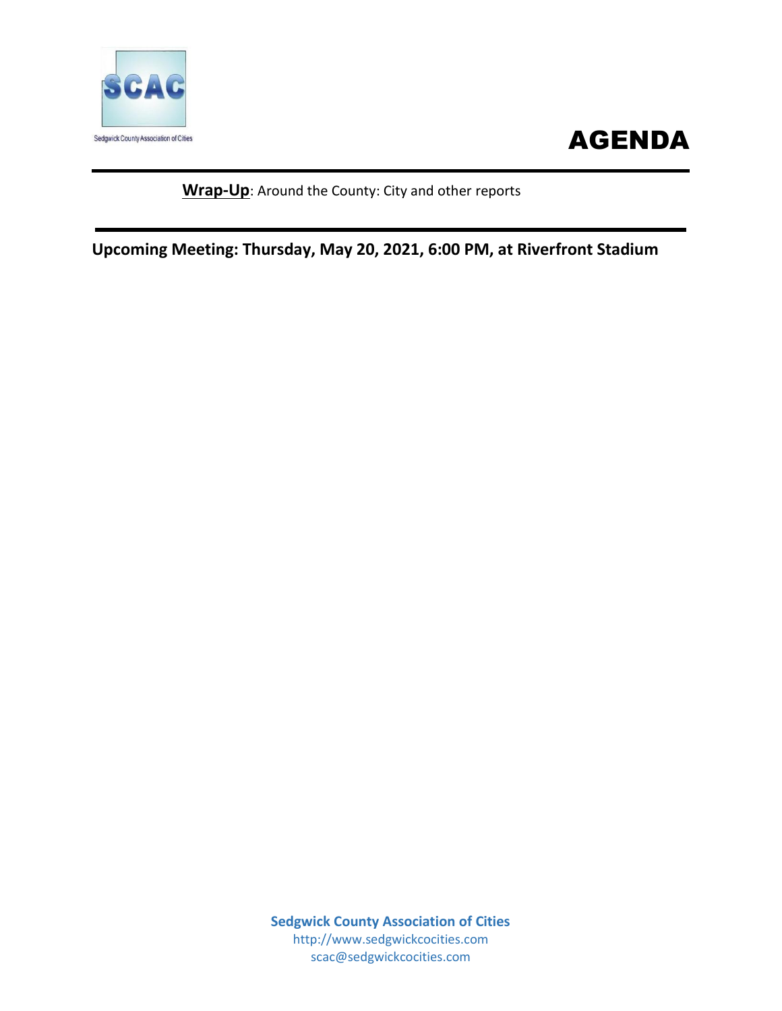

# AGENDA

### **Wrap-Up**: Around the County: City and other reports

**Upcoming Meeting: Thursday, May 20, 2021, 6:00 PM, at Riverfront Stadium**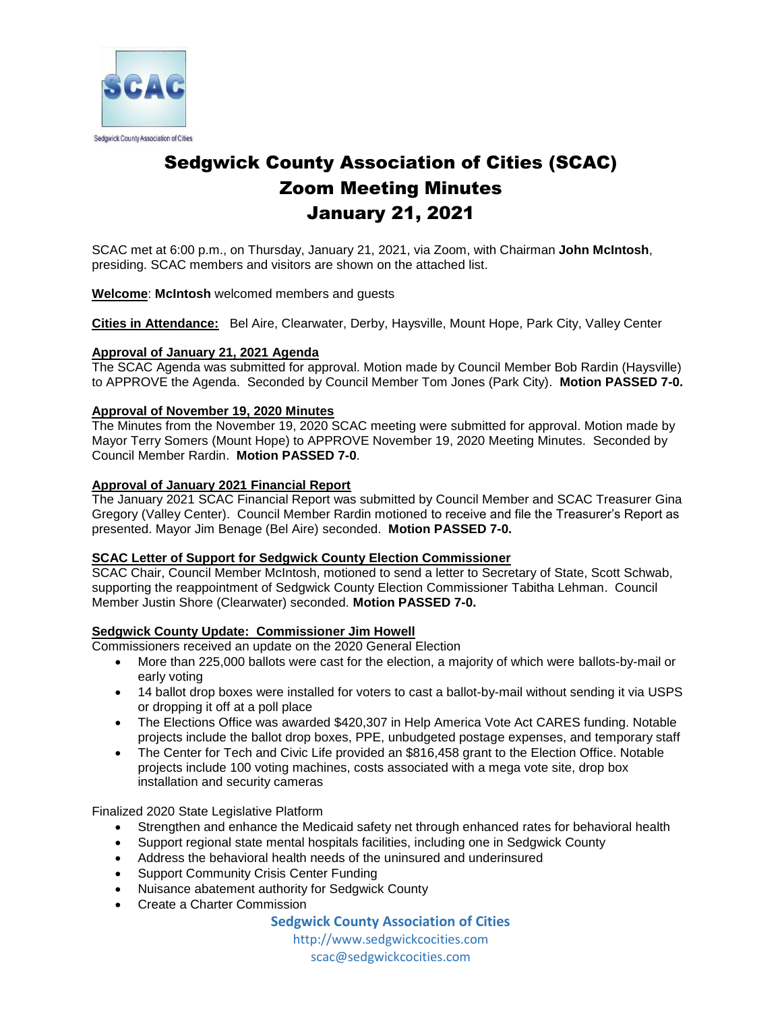

## Sedgwick County Association of Cities (SCAC) Zoom Meeting Minutes January 21, 2021

SCAC met at 6:00 p.m., on Thursday, January 21, 2021, via Zoom, with Chairman **John McIntosh**, presiding. SCAC members and visitors are shown on the attached list.

#### **Welcome**: **McIntosh** welcomed members and guests

**Cities in Attendance:** Bel Aire, Clearwater, Derby, Haysville, Mount Hope, Park City, Valley Center

#### **Approval of January 21, 2021 Agenda**

The SCAC Agenda was submitted for approval. Motion made by Council Member Bob Rardin (Haysville) to APPROVE the Agenda. Seconded by Council Member Tom Jones (Park City). **Motion PASSED 7-0.**

#### **Approval of November 19, 2020 Minutes**

The Minutes from the November 19, 2020 SCAC meeting were submitted for approval. Motion made by Mayor Terry Somers (Mount Hope) to APPROVE November 19, 2020 Meeting Minutes. Seconded by Council Member Rardin. **Motion PASSED 7-0**.

#### **Approval of January 2021 Financial Report**

The January 2021 SCAC Financial Report was submitted by Council Member and SCAC Treasurer Gina Gregory (Valley Center). Council Member Rardin motioned to receive and file the Treasurer's Report as presented. Mayor Jim Benage (Bel Aire) seconded. **Motion PASSED 7-0.**

#### **SCAC Letter of Support for Sedgwick County Election Commissioner**

SCAC Chair, Council Member McIntosh, motioned to send a letter to Secretary of State, Scott Schwab, supporting the reappointment of Sedgwick County Election Commissioner Tabitha Lehman. Council Member Justin Shore (Clearwater) seconded. **Motion PASSED 7-0.**

#### **Sedgwick County Update: Commissioner Jim Howell**

Commissioners received an update on the 2020 General Election

- More than 225,000 ballots were cast for the election, a majority of which were ballots-by-mail or early voting
- 14 ballot drop boxes were installed for voters to cast a ballot-by-mail without sending it via USPS or dropping it off at a poll place
- The Elections Office was awarded \$420,307 in Help America Vote Act CARES funding. Notable projects include the ballot drop boxes, PPE, unbudgeted postage expenses, and temporary staff
- The Center for Tech and Civic Life provided an \$816,458 grant to the Election Office. Notable projects include 100 voting machines, costs associated with a mega vote site, drop box installation and security cameras

Finalized 2020 State Legislative Platform

- Strengthen and enhance the Medicaid safety net through enhanced rates for behavioral health
- Support regional state mental hospitals facilities, including one in Sedgwick County
- Address the behavioral health needs of the uninsured and underinsured
- Support Community Crisis Center Funding
- Nuisance abatement authority for Sedgwick County
- Create a Charter Commission

#### **Sedgwick County Association of Cities**

http://www.sedgwickcocities.com scac@sedgwickcocities.com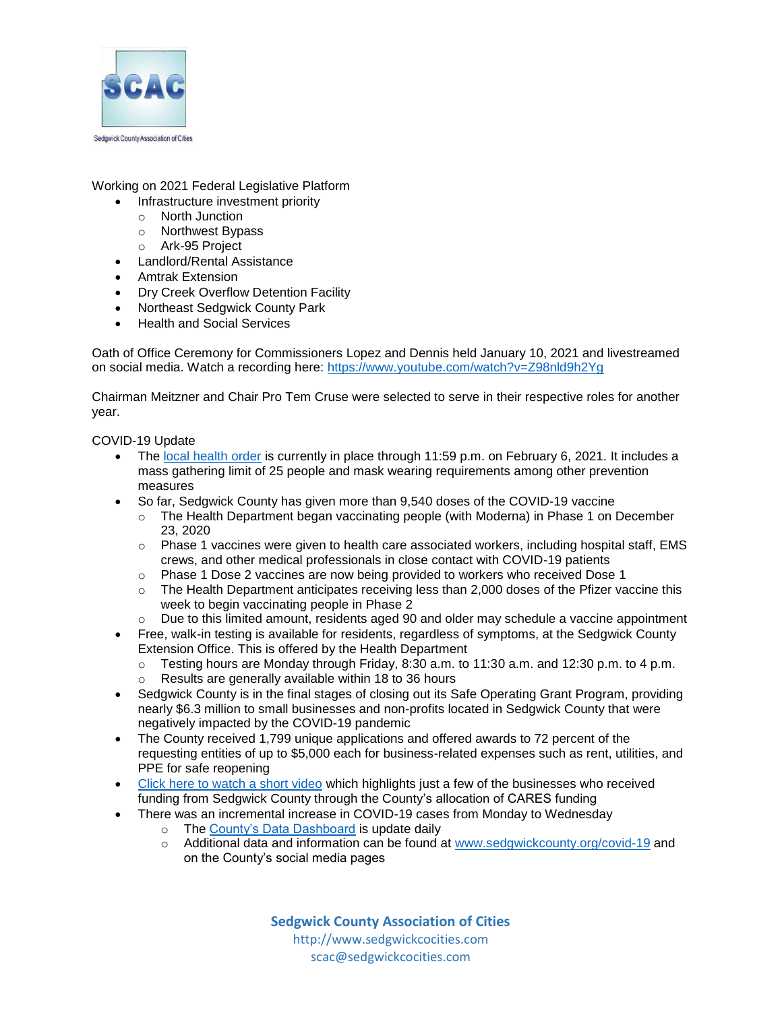

Working on 2021 Federal Legislative Platform

- Infrastructure investment priority
	- o North Junction
	- o Northwest Bypass
- o Ark-95 Project
- Landlord/Rental Assistance
- Amtrak Extension
- Dry Creek Overflow Detention Facility
- Northeast Sedgwick County Park
- Health and Social Services

Oath of Office Ceremony for Commissioners Lopez and Dennis held January 10, 2021 and livestreamed on social media. Watch a recording here:<https://www.youtube.com/watch?v=Z98nld9h2Yg>

Chairman Meitzner and Chair Pro Tem Cruse were selected to serve in their respective roles for another year.

COVID-19 Update

- The [local health order](https://www.sedgwickcounty.org/covid-19/local-orders/emergency-public-health-order-january-6-2021/) is currently in place through 11:59 p.m. on February 6, 2021. It includes a mass gathering limit of 25 people and mask wearing requirements among other prevention measures
- So far, Sedgwick County has given more than 9,540 doses of the COVID-19 vaccine
	- o The Health Department began vaccinating people (with Moderna) in Phase 1 on December 23, 2020
	- $\circ$  Phase 1 vaccines were given to health care associated workers, including hospital staff, EMS crews, and other medical professionals in close contact with COVID-19 patients
	- o Phase 1 Dose 2 vaccines are now being provided to workers who received Dose 1
	- $\circ$  The Health Department anticipates receiving less than 2,000 doses of the Pfizer vaccine this week to begin vaccinating people in Phase 2
	- o Due to this limited amount, residents aged 90 and older may schedule a vaccine appointment
- Free, walk-in testing is available for residents, regardless of symptoms, at the Sedgwick County Extension Office. This is offered by the Health Department
	- $\circ$  Testing hours are Monday through Friday, 8:30 a.m. to 11:30 a.m. and 12:30 p.m. to 4 p.m.
	- o Results are generally available within 18 to 36 hours
- Sedgwick County is in the final stages of closing out its Safe Operating Grant Program, providing nearly \$6.3 million to small businesses and non-profits located in Sedgwick County that were negatively impacted by the COVID-19 pandemic
- The County received 1,799 unique applications and offered awards to 72 percent of the requesting entities of up to \$5,000 each for business-related expenses such as rent, utilities, and PPE for safe reopening
- [Click here to watch a short video](https://www.youtube.com/watch?v=2ZLIpbJNGro) which highlights just a few of the businesses who received funding from Sedgwick County through the County's allocation of CARES funding
- There was an incremental increase in COVID-19 cases from Monday to Wednesday
	- o The [County's Data Dashboard](https://sedgwickcounty.maps.arcgis.com/apps/opsdashboard/index.html#/7b2b4364a5fa4ba3a015d52450acfe0d) is update daily
	- o Additional data and information can be found at [www.sedgwickcounty.org/covid-19](http://www.sedgwickcounty.org/covid-19) and on the County's social media pages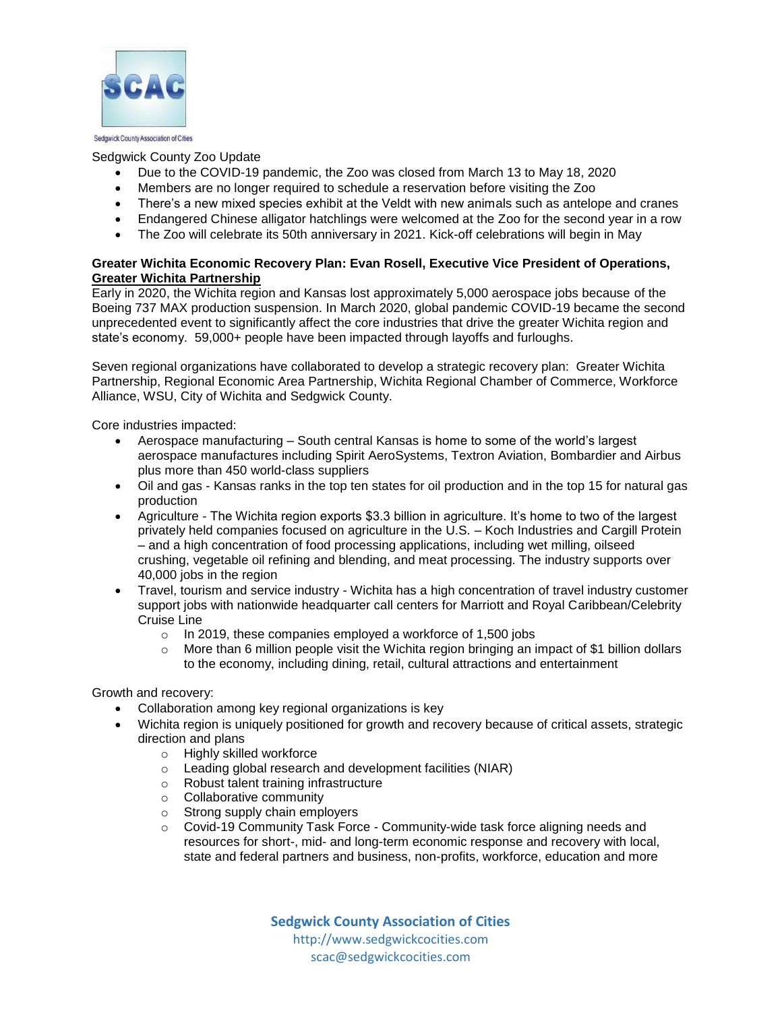

#### Sedgwick County Zoo Update

- Due to the COVID-19 pandemic, the Zoo was closed from March 13 to May 18, 2020
- Members are no longer required to schedule a reservation before visiting the Zoo
- There's a new mixed species exhibit at the Veldt with new animals such as antelope and cranes
- Endangered Chinese alligator hatchlings were welcomed at the Zoo for the second year in a row
- The Zoo will celebrate its 50th anniversary in 2021. Kick-off celebrations will begin in May

#### **Greater Wichita Economic Recovery Plan: Evan Rosell, Executive Vice President of Operations, Greater Wichita Partnership**

Early in 2020, the Wichita region and Kansas lost approximately 5,000 aerospace jobs because of the Boeing 737 MAX production suspension. In March 2020, global pandemic COVID-19 became the second unprecedented event to significantly affect the core industries that drive the greater Wichita region and state's economy. 59,000+ people have been impacted through layoffs and furloughs.

Seven regional organizations have collaborated to develop a strategic recovery plan: Greater Wichita Partnership, Regional Economic Area Partnership, Wichita Regional Chamber of Commerce, Workforce Alliance, WSU, City of Wichita and Sedgwick County.

Core industries impacted:

- Aerospace manufacturing South central Kansas is home to some of the world's largest aerospace manufactures including Spirit AeroSystems, Textron Aviation, Bombardier and Airbus plus more than 450 world-class suppliers
- Oil and gas Kansas ranks in the top ten states for oil production and in the top 15 for natural gas production
- Agriculture The Wichita region exports \$3.3 billion in agriculture. It's home to two of the largest privately held companies focused on agriculture in the U.S. – Koch Industries and Cargill Protein – and a high concentration of food processing applications, including wet milling, oilseed crushing, vegetable oil refining and blending, and meat processing. The industry supports over 40,000 jobs in the region
- Travel, tourism and service industry Wichita has a high concentration of travel industry customer support jobs with nationwide headquarter call centers for Marriott and Royal Caribbean/Celebrity Cruise Line
	- o In 2019, these companies employed a workforce of 1,500 jobs
	- $\circ$  More than 6 million people visit the Wichita region bringing an impact of \$1 billion dollars to the economy, including dining, retail, cultural attractions and entertainment

Growth and recovery:

- Collaboration among key regional organizations is key
- Wichita region is uniquely positioned for growth and recovery because of critical assets, strategic direction and plans
	- o Highly skilled workforce
	- o Leading global research and development facilities (NIAR)
	- o Robust talent training infrastructure
	- o Collaborative community
	- o Strong supply chain employers
	- o Covid-19 Community Task Force Community-wide task force aligning needs and resources for short-, mid- and long-term economic response and recovery with local, state and federal partners and business, non-profits, workforce, education and more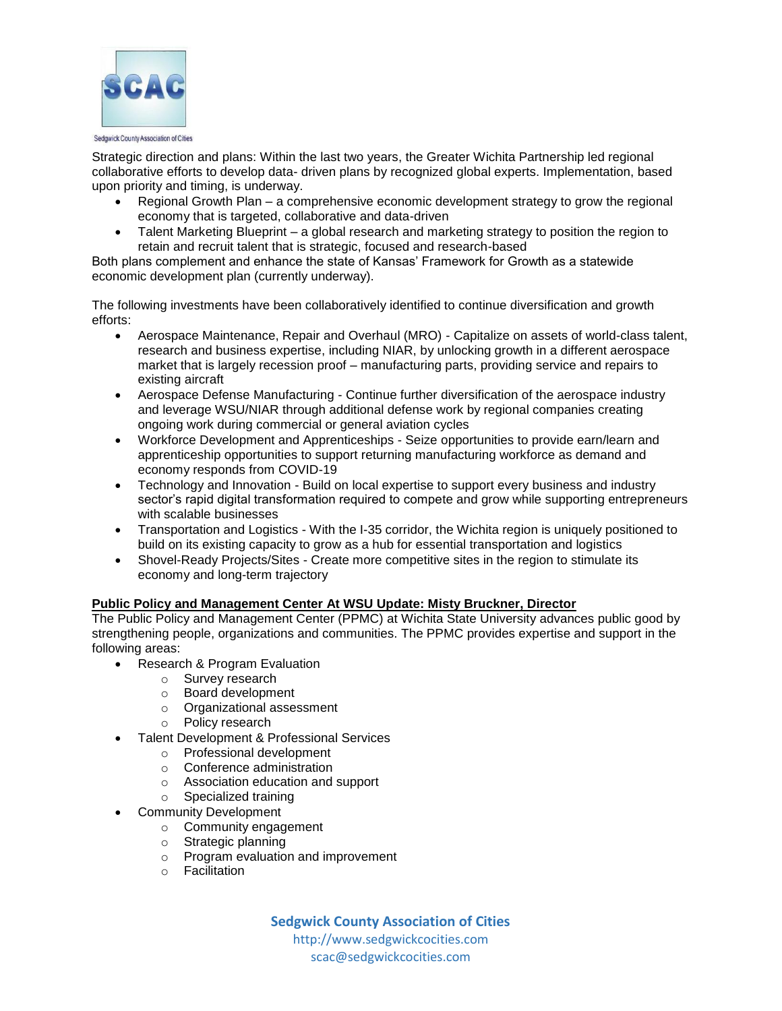

Strategic direction and plans: Within the last two years, the Greater Wichita Partnership led regional collaborative efforts to develop data- driven plans by recognized global experts. Implementation, based upon priority and timing, is underway.

- Regional Growth Plan a comprehensive economic development strategy to grow the regional economy that is targeted, collaborative and data-driven
- Talent Marketing Blueprint a global research and marketing strategy to position the region to retain and recruit talent that is strategic, focused and research-based

Both plans complement and enhance the state of Kansas' Framework for Growth as a statewide economic development plan (currently underway).

The following investments have been collaboratively identified to continue diversification and growth efforts:

- Aerospace Maintenance, Repair and Overhaul (MRO) Capitalize on assets of world-class talent, research and business expertise, including NIAR, by unlocking growth in a different aerospace market that is largely recession proof – manufacturing parts, providing service and repairs to existing aircraft
- Aerospace Defense Manufacturing Continue further diversification of the aerospace industry and leverage WSU/NIAR through additional defense work by regional companies creating ongoing work during commercial or general aviation cycles
- Workforce Development and Apprenticeships Seize opportunities to provide earn/learn and apprenticeship opportunities to support returning manufacturing workforce as demand and economy responds from COVID-19
- Technology and Innovation Build on local expertise to support every business and industry sector's rapid digital transformation required to compete and grow while supporting entrepreneurs with scalable businesses
- Transportation and Logistics With the I-35 corridor, the Wichita region is uniquely positioned to build on its existing capacity to grow as a hub for essential transportation and logistics
- Shovel-Ready Projects/Sites Create more competitive sites in the region to stimulate its economy and long-term trajectory

#### **Public Policy and Management Center At WSU Update: Misty Bruckner, Director**

The Public Policy and Management Center (PPMC) at Wichita State University advances public good by strengthening people, organizations and communities. The PPMC provides expertise and support in the following areas:

- Research & Program Evaluation
	- o Survey research
	- o Board development
	- o Organizational assessment
	- o Policy research
- Talent Development & Professional Services
	- o Professional development
	- o Conference administration
	- o Association education and support
	- o Specialized training
- Community Development
	- o Community engagement
	- o Strategic planning
	- o Program evaluation and improvement
	- o Facilitation

**Sedgwick County Association of Cities** http://www.sedgwickcocities.com

scac@sedgwickcocities.com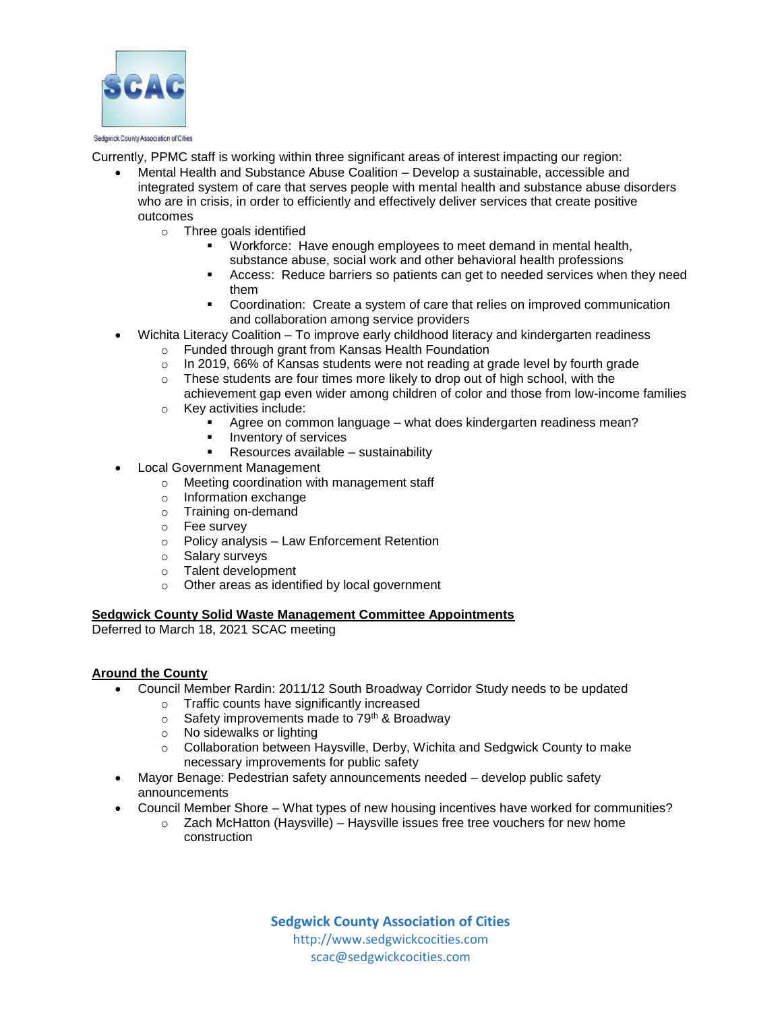

Currently, PPMC staff is working within three significant areas of interest impacting our region:

- Mental Health and Substance Abuse Coalition Develop a sustainable, accessible and integrated system of care that serves people with mental health and substance abuse disorders who are in crisis, in order to efficiently and effectively deliver services that create positive outcomes
	- o Three goals identified
		- **Workforce: Have enough employees to meet demand in mental health,** substance abuse, social work and other behavioral health professions
		- Access: Reduce barriers so patients can get to needed services when they need them
		- Coordination: Create a system of care that relies on improved communication and collaboration among service providers
- Wichita Literacy Coalition To improve early childhood literacy and kindergarten readiness
	- o Funded through grant from Kansas Health Foundation
	- o In 2019, 66% of Kansas students were not reading at grade level by fourth grade
	- o These students are four times more likely to drop out of high school, with the achievement gap even wider among children of color and those from low-income families
	- o Key activities include:
		- Agree on common language what does kindergarten readiness mean?
		- Inventory of services
		- Resources available sustainability
- Local Government Management
	- o Meeting coordination with management staff
	- o Information exchange
	- o Training on-demand
	- o Fee survey
	- o Policy analysis Law Enforcement Retention
	- o Salary surveys
	- o Talent development
	- o Other areas as identified by local government

#### **Sedgwick County Solid Waste Management Committee Appointments**

Deferred to March 18, 2021 SCAC meeting

#### **Around the County**

- Council Member Rardin: 2011/12 South Broadway Corridor Study needs to be updated
	- o Traffic counts have significantly increased
	- $\circ$  Safety improvements made to 79<sup>th</sup> & Broadway  $\circ$  No sidewalks or lighting
	- No sidewalks or lighting
	- o Collaboration between Haysville, Derby, Wichita and Sedgwick County to make necessary improvements for public safety
	- Mayor Benage: Pedestrian safety announcements needed develop public safety announcements
	- Council Member Shore What types of new housing incentives have worked for communities?
		- $\circ$  Zach McHatton (Haysville) Haysville issues free tree vouchers for new home construction